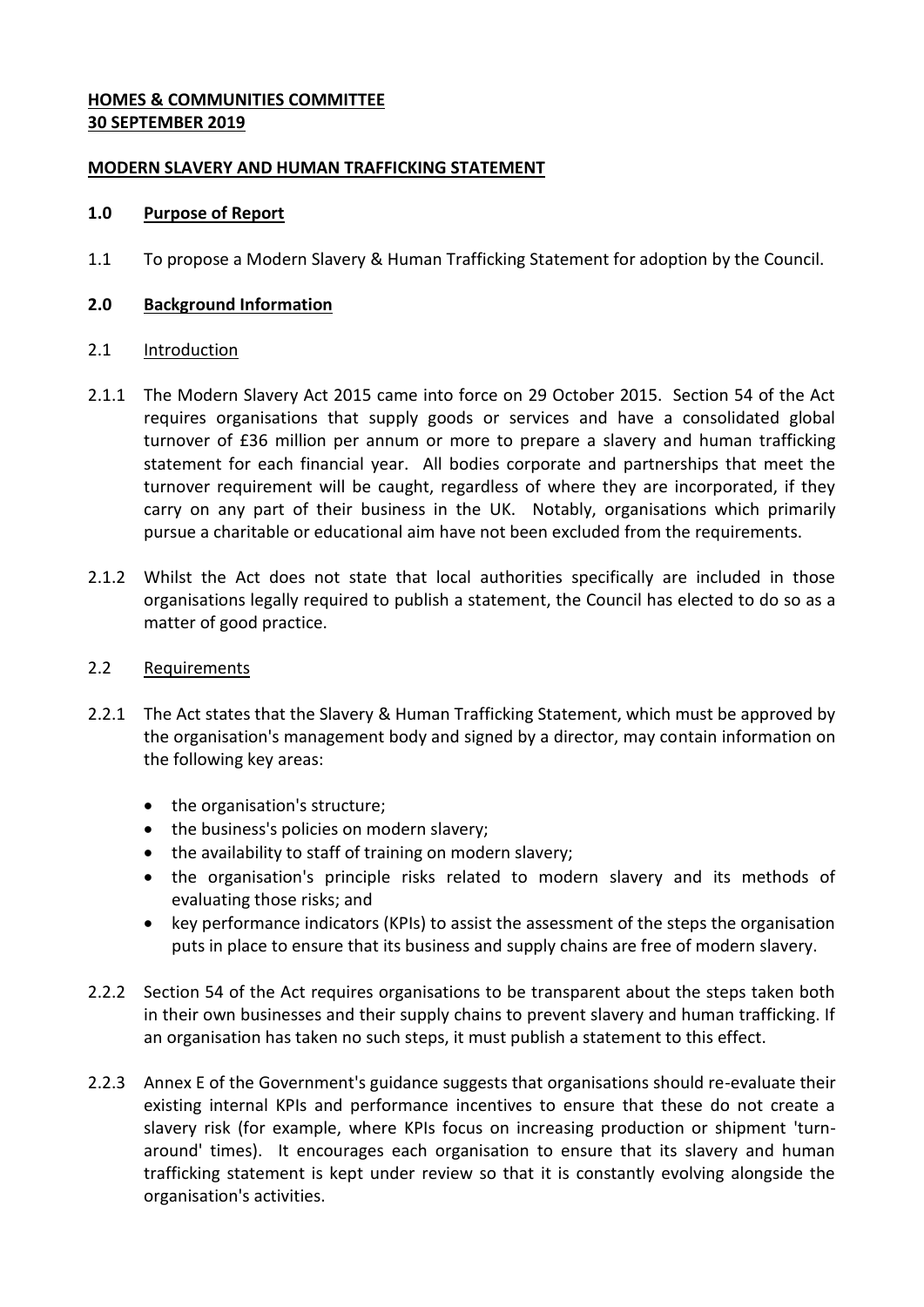## **HOMES & COMMUNITIES COMMITTEE 30 SEPTEMBER 2019**

## **MODERN SLAVERY AND HUMAN TRAFFICKING STATEMENT**

## **1.0 Purpose of Report**

1.1 To propose a Modern Slavery & Human Trafficking Statement for adoption by the Council.

## **2.0 Background Information**

### 2.1 Introduction

- 2.1.1 The Modern Slavery Act 2015 came into force on 29 October 2015. Section 54 of the Act requires organisations that supply goods or services and have a consolidated global turnover of £36 million per annum or more to prepare a slavery and human trafficking statement for each financial year. All bodies corporate and partnerships that meet the turnover requirement will be caught, regardless of where they are incorporated, if they carry on any part of their business in the UK. Notably, organisations which primarily pursue a charitable or educational aim have not been excluded from the requirements.
- 2.1.2 Whilst the Act does not state that local authorities specifically are included in those organisations legally required to publish a statement, the Council has elected to do so as a matter of good practice.

### 2.2 Requirements

- 2.2.1 The Act states that the Slavery & Human Trafficking Statement, which must be approved by the organisation's management body and signed by a director, may contain information on the following key areas:
	- the organisation's structure;
	- the business's policies on modern slavery;
	- the availability to staff of training on modern slavery;
	- the organisation's principle risks related to modern slavery and its methods of evaluating those risks; and
	- key performance indicators (KPIs) to assist the assessment of the steps the organisation puts in place to ensure that its business and supply chains are free of modern slavery.
- 2.2.2 Section 54 of the Act requires organisations to be transparent about the steps taken both in their own businesses and their supply chains to prevent slavery and human trafficking. If an organisation has taken no such steps, it must publish a statement to this effect.
- 2.2.3 Annex E of the Government's guidance suggests that organisations should re-evaluate their existing internal KPIs and performance incentives to ensure that these do not create a slavery risk (for example, where KPIs focus on increasing production or shipment 'turnaround' times). It encourages each organisation to ensure that its slavery and human trafficking statement is kept under review so that it is constantly evolving alongside the organisation's activities.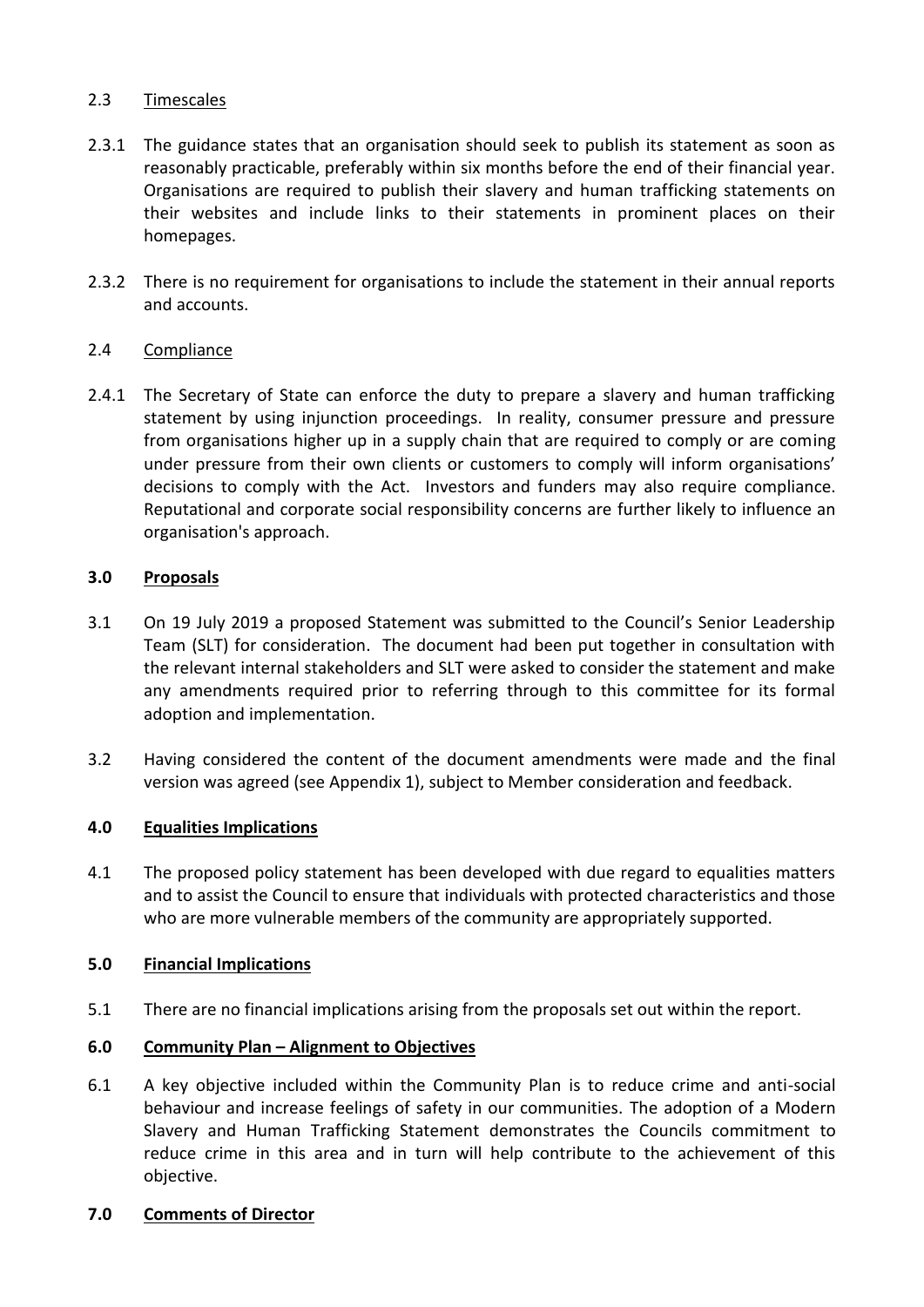## 2.3 Timescales

- 2.3.1 The guidance states that an organisation should seek to publish its statement as soon as reasonably practicable, preferably within six months before the end of their financial year. Organisations are required to publish their slavery and human trafficking statements on their websites and include links to their statements in prominent places on their homepages.
- 2.3.2 There is no requirement for organisations to include the statement in their annual reports and accounts.

# 2.4 Compliance

2.4.1 The Secretary of State can enforce the duty to prepare a slavery and human trafficking statement by using injunction proceedings. In reality, consumer pressure and pressure from organisations higher up in a supply chain that are required to comply or are coming under pressure from their own clients or customers to comply will inform organisations' decisions to comply with the Act. Investors and funders may also require compliance. Reputational and corporate social responsibility concerns are further likely to influence an organisation's approach.

## **3.0 Proposals**

- 3.1 On 19 July 2019 a proposed Statement was submitted to the Council's Senior Leadership Team (SLT) for consideration. The document had been put together in consultation with the relevant internal stakeholders and SLT were asked to consider the statement and make any amendments required prior to referring through to this committee for its formal adoption and implementation.
- 3.2 Having considered the content of the document amendments were made and the final version was agreed (see Appendix 1), subject to Member consideration and feedback.

# **4.0 Equalities Implications**

4.1 The proposed policy statement has been developed with due regard to equalities matters and to assist the Council to ensure that individuals with protected characteristics and those who are more vulnerable members of the community are appropriately supported.

### **5.0 Financial Implications**

5.1 There are no financial implications arising from the proposals set out within the report.

### **6.0 Community Plan – Alignment to Objectives**

6.1 A key objective included within the Community Plan is to reduce crime and anti-social behaviour and increase feelings of safety in our communities. The adoption of a Modern Slavery and Human Trafficking Statement demonstrates the Councils commitment to reduce crime in this area and in turn will help contribute to the achievement of this objective.

## **7.0 Comments of Director**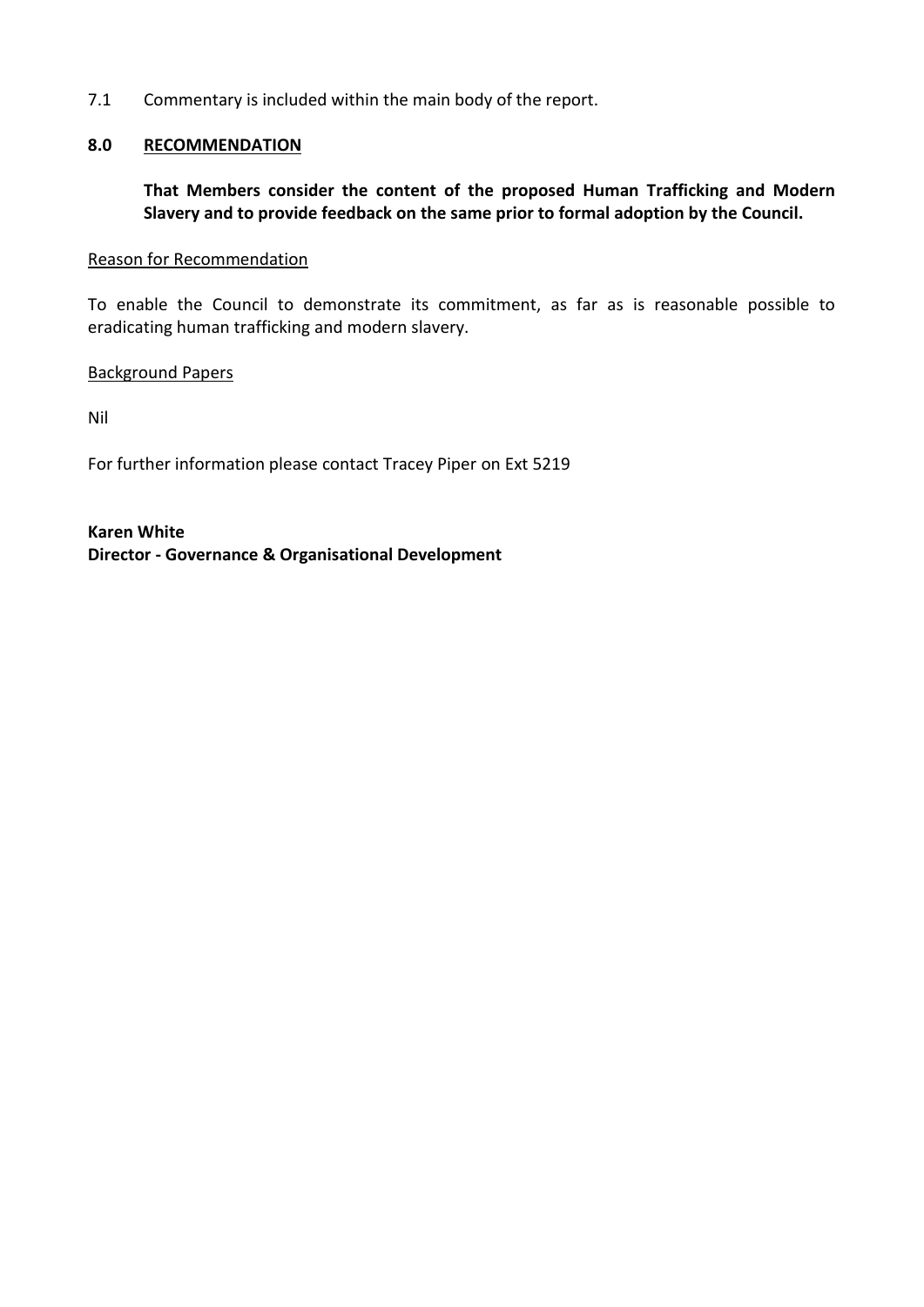7.1 Commentary is included within the main body of the report.

## **8.0 RECOMMENDATION**

**That Members consider the content of the proposed Human Trafficking and Modern Slavery and to provide feedback on the same prior to formal adoption by the Council.**

#### Reason for Recommendation

To enable the Council to demonstrate its commitment, as far as is reasonable possible to eradicating human trafficking and modern slavery.

### Background Papers

Nil

For further information please contact Tracey Piper on Ext 5219

**Karen White Director - Governance & Organisational Development**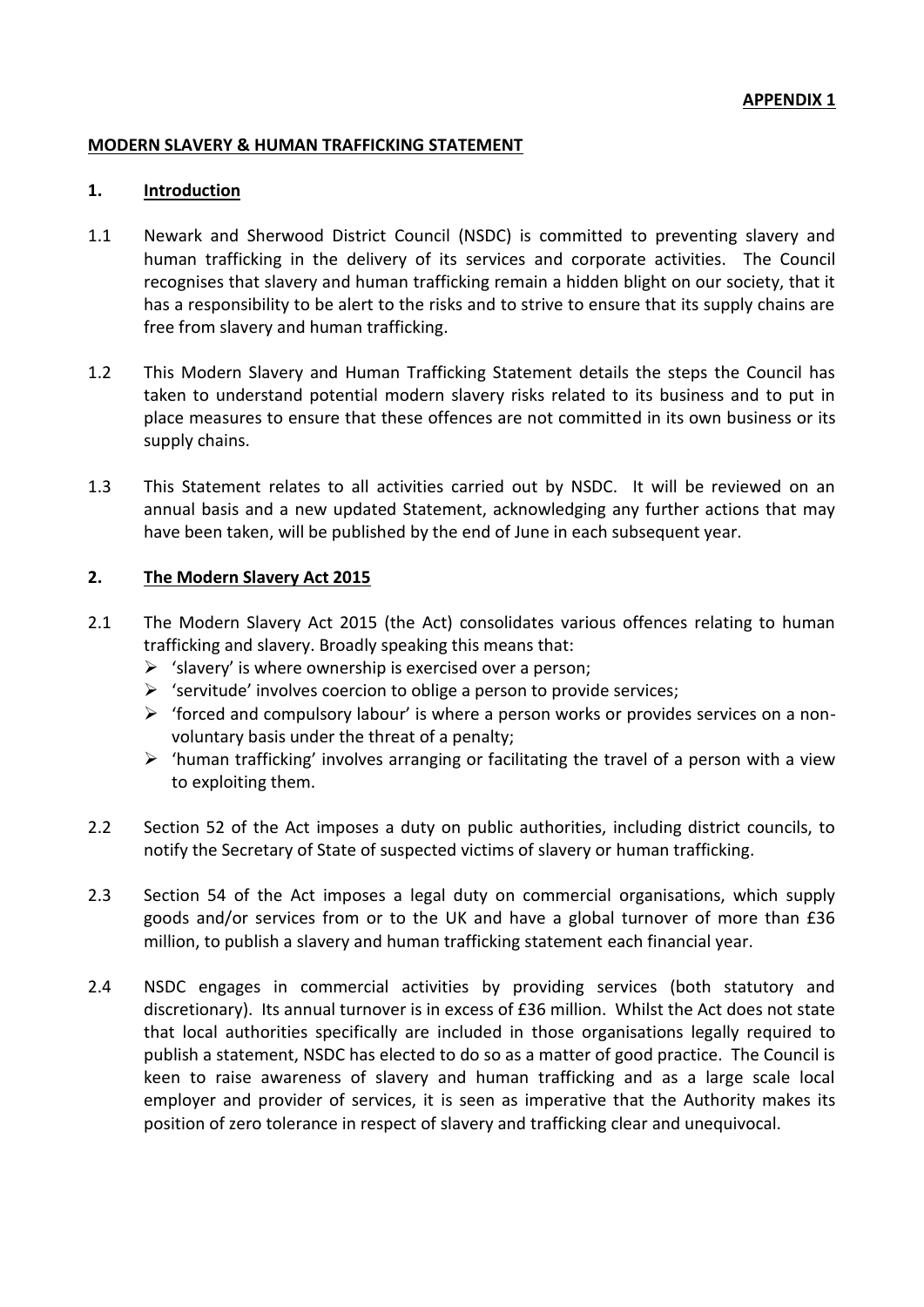### **MODERN SLAVERY & HUMAN TRAFFICKING STATEMENT**

#### **1. Introduction**

- 1.1 Newark and Sherwood District Council (NSDC) is committed to preventing slavery and human trafficking in the delivery of its services and corporate activities. The Council recognises that slavery and human trafficking remain a hidden blight on our society, that it has a responsibility to be alert to the risks and to strive to ensure that its supply chains are free from slavery and human trafficking.
- 1.2 This Modern Slavery and Human Trafficking Statement details the steps the Council has taken to understand potential modern slavery risks related to its business and to put in place measures to ensure that these offences are not committed in its own business or its supply chains.
- 1.3 This Statement relates to all activities carried out by NSDC. It will be reviewed on an annual basis and a new updated Statement, acknowledging any further actions that may have been taken, will be published by the end of June in each subsequent year.

### **2. The Modern Slavery Act 2015**

- 2.1 The Modern Slavery Act 2015 (the Act) consolidates various offences relating to human trafficking and slavery. Broadly speaking this means that:
	- $\triangleright$  'slavery' is where ownership is exercised over a person;
	- $\triangleright$  'servitude' involves coercion to oblige a person to provide services;
	- $\triangleright$  'forced and compulsory labour' is where a person works or provides services on a nonvoluntary basis under the threat of a penalty;
	- $\triangleright$  'human trafficking' involves arranging or facilitating the travel of a person with a view to exploiting them.
- 2.2 Section 52 of the Act imposes a duty on public authorities, including district councils, to notify the Secretary of State of suspected victims of slavery or human trafficking.
- 2.3 Section 54 of the Act imposes a legal duty on commercial organisations, which supply goods and/or services from or to the UK and have a global turnover of more than £36 million, to publish a slavery and human trafficking statement each financial year.
- 2.4 NSDC engages in commercial activities by providing services (both statutory and discretionary). Its annual turnover is in excess of £36 million. Whilst the Act does not state that local authorities specifically are included in those organisations legally required to publish a statement, NSDC has elected to do so as a matter of good practice. The Council is keen to raise awareness of slavery and human trafficking and as a large scale local employer and provider of services, it is seen as imperative that the Authority makes its position of zero tolerance in respect of slavery and trafficking clear and unequivocal.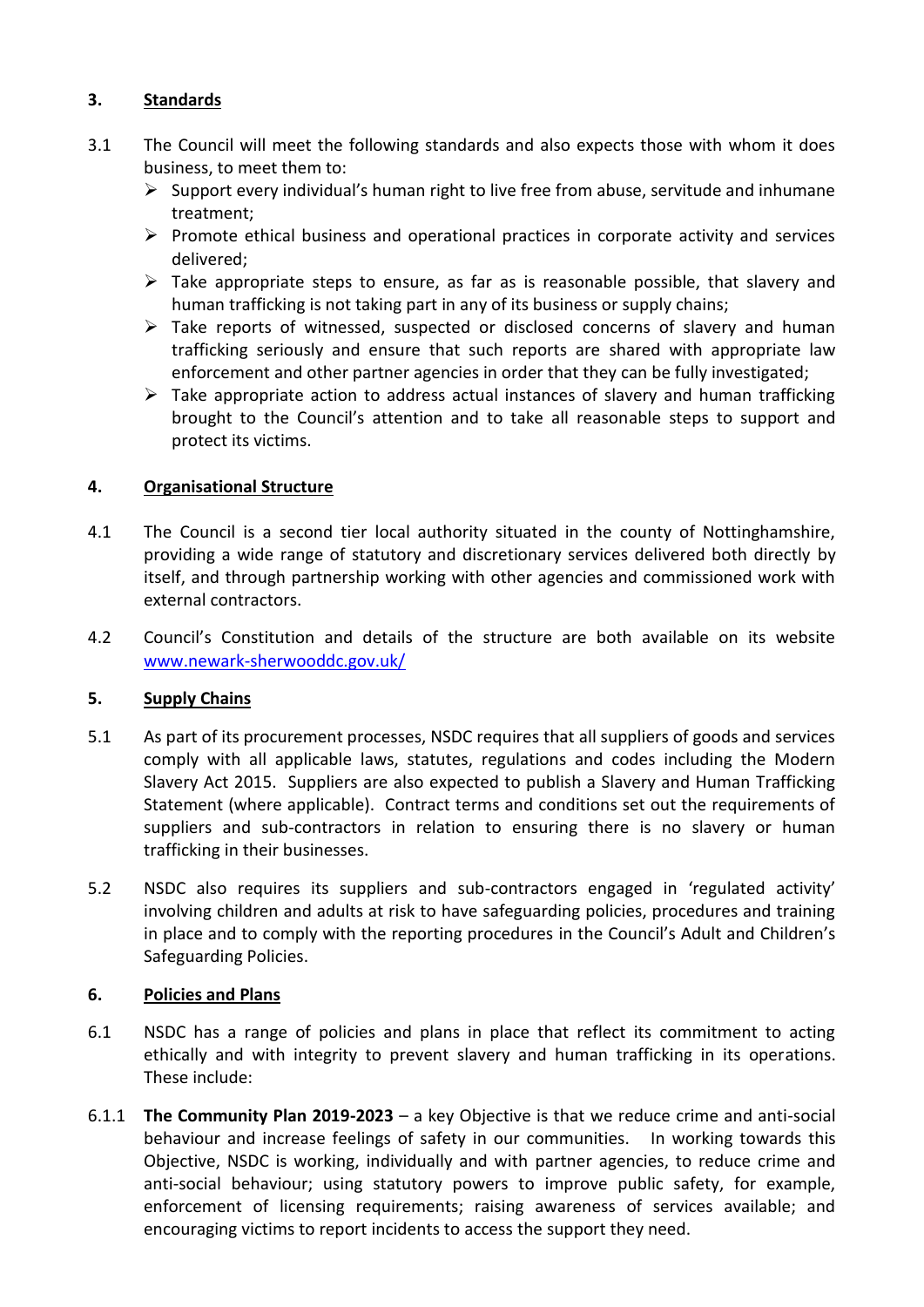# **3. Standards**

- 3.1 The Council will meet the following standards and also expects those with whom it does business, to meet them to:
	- $\triangleright$  Support every individual's human right to live free from abuse, servitude and inhumane treatment;
	- $\triangleright$  Promote ethical business and operational practices in corporate activity and services delivered;
	- $\triangleright$  Take appropriate steps to ensure, as far as is reasonable possible, that slavery and human trafficking is not taking part in any of its business or supply chains;
	- $\triangleright$  Take reports of witnessed, suspected or disclosed concerns of slavery and human trafficking seriously and ensure that such reports are shared with appropriate law enforcement and other partner agencies in order that they can be fully investigated;
	- $\triangleright$  Take appropriate action to address actual instances of slavery and human trafficking brought to the Council's attention and to take all reasonable steps to support and protect its victims.

# **4. Organisational Structure**

- 4.1 The Council is a second tier local authority situated in the county of Nottinghamshire, providing a wide range of statutory and discretionary services delivered both directly by itself, and through partnership working with other agencies and commissioned work with external contractors.
- 4.2 Council's Constitution and details of the structure are both available on its website [www.newark-sherwooddc.gov.uk/](http://www.newark-sherwooddc.gov.uk/)

# **5. Supply Chains**

- 5.1 As part of its procurement processes, NSDC requires that all suppliers of goods and services comply with all applicable laws, statutes, regulations and codes including the Modern Slavery Act 2015. Suppliers are also expected to publish a Slavery and Human Trafficking Statement (where applicable). Contract terms and conditions set out the requirements of suppliers and sub-contractors in relation to ensuring there is no slavery or human trafficking in their businesses.
- 5.2 NSDC also requires its suppliers and sub-contractors engaged in 'regulated activity' involving children and adults at risk to have safeguarding policies, procedures and training in place and to comply with the reporting procedures in the Council's Adult and Children's Safeguarding Policies.

# **6. Policies and Plans**

- 6.1 NSDC has a range of policies and plans in place that reflect its commitment to acting ethically and with integrity to prevent slavery and human trafficking in its operations. These include:
- 6.1.1 **The Community Plan 2019-2023** a key Objective is that we reduce crime and anti-social behaviour and increase feelings of safety in our communities. In working towards this Objective, NSDC is working, individually and with partner agencies, to reduce crime and anti-social behaviour; using statutory powers to improve public safety, for example, enforcement of licensing requirements; raising awareness of services available; and encouraging victims to report incidents to access the support they need.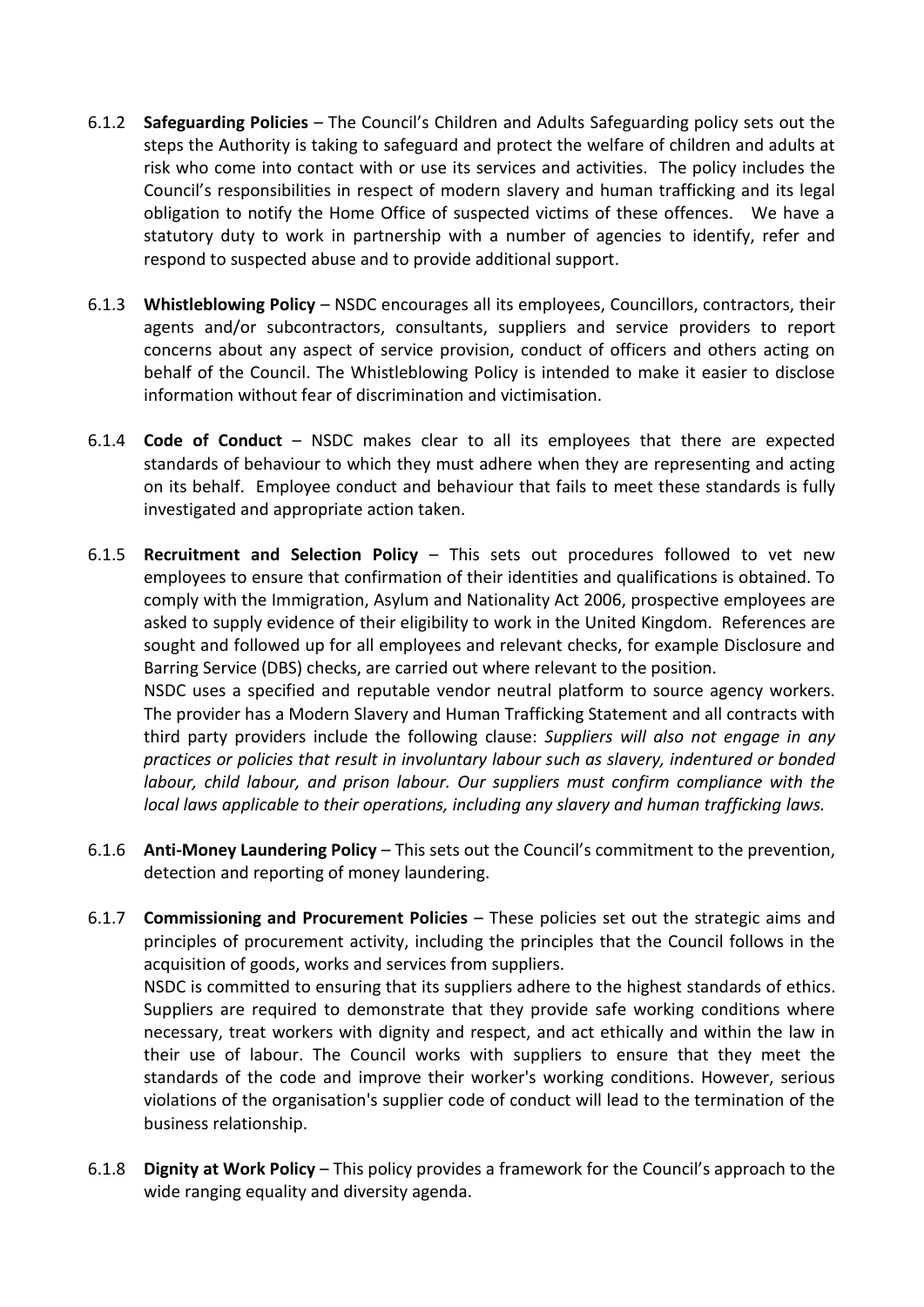- 6.1.2 **Safeguarding Policies** The Council's Children and Adults Safeguarding policy sets out the steps the Authority is taking to safeguard and protect the welfare of children and adults at risk who come into contact with or use its services and activities. The policy includes the Council's responsibilities in respect of modern slavery and human trafficking and its legal obligation to notify the Home Office of suspected victims of these offences. We have a statutory duty to work in partnership with a number of agencies to identify, refer and respond to suspected abuse and to provide additional support.
- 6.1.3 **Whistleblowing Policy** NSDC encourages all its employees, Councillors, contractors, their agents and/or subcontractors, consultants, suppliers and service providers to report concerns about any aspect of service provision, conduct of officers and others acting on behalf of the Council. The Whistleblowing Policy is intended to make it easier to disclose information without fear of discrimination and victimisation.
- 6.1.4 **Code of Conduct** NSDC makes clear to all its employees that there are expected standards of behaviour to which they must adhere when they are representing and acting on its behalf. Employee conduct and behaviour that fails to meet these standards is fully investigated and appropriate action taken.
- 6.1.5 **Recruitment and Selection Policy** This sets out procedures followed to vet new employees to ensure that confirmation of their identities and qualifications is obtained. To comply with the Immigration, Asylum and Nationality Act 2006, prospective employees are asked to supply evidence of their eligibility to work in the United Kingdom. References are sought and followed up for all employees and relevant checks, for example Disclosure and Barring Service (DBS) checks, are carried out where relevant to the position. NSDC uses a specified and reputable vendor neutral platform to source agency workers. The provider has a Modern Slavery and Human Trafficking Statement and all contracts with third party providers include the following clause: *Suppliers will also not engage in any*

*practices or policies that result in involuntary labour such as slavery, indentured or bonded labour, child labour, and prison labour. Our suppliers must confirm compliance with the local laws applicable to their operations, including any slavery and human trafficking laws.*

- 6.1.6 **Anti-Money Laundering Policy** This sets out the Council's commitment to the prevention, detection and reporting of money laundering.
- 6.1.7 **Commissioning and Procurement Policies** These policies set out the strategic aims and principles of procurement activity, including the principles that the Council follows in the acquisition of goods, works and services from suppliers.

NSDC is committed to ensuring that its suppliers adhere to the highest standards of ethics. Suppliers are required to demonstrate that they provide safe working conditions where necessary, treat workers with dignity and respect, and act ethically and within the law in their use of labour. The Council works with suppliers to ensure that they meet the standards of the code and improve their worker's working conditions. However, serious violations of the organisation's supplier code of conduct will lead to the termination of the business relationship.

6.1.8 **Dignity at Work Policy** – This policy provides a framework for the Council's approach to the wide ranging equality and diversity agenda.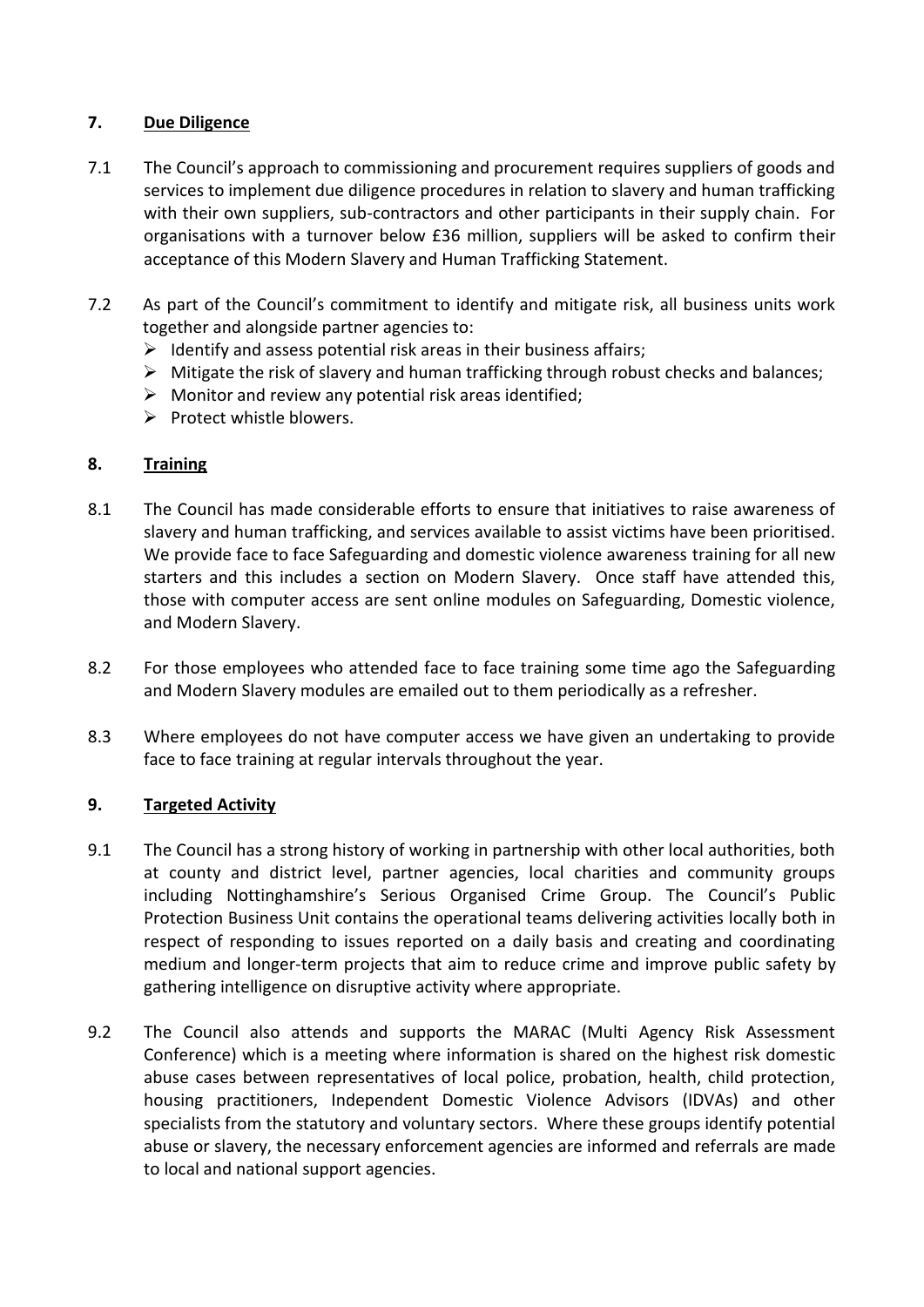# **7. Due Diligence**

- 7.1 The Council's approach to commissioning and procurement requires suppliers of goods and services to implement due diligence procedures in relation to slavery and human trafficking with their own suppliers, sub-contractors and other participants in their supply chain. For organisations with a turnover below £36 million, suppliers will be asked to confirm their acceptance of this Modern Slavery and Human Trafficking Statement.
- 7.2 As part of the Council's commitment to identify and mitigate risk, all business units work together and alongside partner agencies to:
	- $\triangleright$  Identify and assess potential risk areas in their business affairs;
	- $\triangleright$  Mitigate the risk of slavery and human trafficking through robust checks and balances;
	- $\triangleright$  Monitor and review any potential risk areas identified;
	- $\triangleright$  Protect whistle blowers.

# **8. Training**

- 8.1 The Council has made considerable efforts to ensure that initiatives to raise awareness of slavery and human trafficking, and services available to assist victims have been prioritised. We provide face to face Safeguarding and domestic violence awareness training for all new starters and this includes a section on Modern Slavery. Once staff have attended this, those with computer access are sent online modules on Safeguarding, Domestic violence, and Modern Slavery.
- 8.2 For those employees who attended face to face training some time ago the Safeguarding and Modern Slavery modules are emailed out to them periodically as a refresher.
- 8.3 Where employees do not have computer access we have given an undertaking to provide face to face training at regular intervals throughout the year.

# **9. Targeted Activity**

- 9.1 The Council has a strong history of working in partnership with other local authorities, both at county and district level, partner agencies, local charities and community groups including Nottinghamshire's Serious Organised Crime Group. The Council's Public Protection Business Unit contains the operational teams delivering activities locally both in respect of responding to issues reported on a daily basis and creating and coordinating medium and longer-term projects that aim to reduce crime and improve public safety by gathering intelligence on disruptive activity where appropriate.
- 9.2 The Council also attends and supports the MARAC (Multi Agency Risk Assessment Conference) which is a meeting where information is shared on the highest risk domestic abuse cases between representatives of local police, probation, health, child protection, housing practitioners, Independent Domestic Violence Advisors (IDVAs) and other specialists from the statutory and voluntary sectors. Where these groups identify potential abuse or slavery, the necessary enforcement agencies are informed and referrals are made to local and national support agencies.